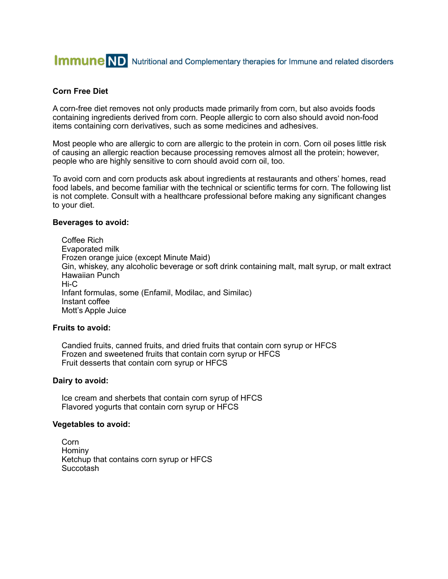# **Immune ND** Nutritional and Complementary therapies for Immune and related disorders

# **Corn Free Diet**

A corn-free diet removes not only products made primarily from corn, but also avoids foods containing ingredients derived from corn. People allergic to corn also should avoid non-food items containing corn derivatives, such as some medicines and adhesives.

Most people who are allergic to corn are allergic to the protein in corn. Corn oil poses little risk of causing an allergic reaction because processing removes almost all the protein; however, people who are highly sensitive to corn should avoid corn oil, too.

To avoid corn and corn products ask about ingredients at restaurants and others' homes, read food labels, and become familiar with the technical or scientific terms for corn. The following list is not complete. Consult with a healthcare professional before making any significant changes to your diet.

#### **Beverages to avoid:**

 Coffee Rich Evaporated milk Frozen orange juice (except Minute Maid) Gin, whiskey, any alcoholic beverage or soft drink containing malt, malt syrup, or malt extract Hawaiian Punch Hi-C Infant formulas, some (Enfamil, Modilac, and Similac) Instant coffee Mott's Apple Juice

## **Fruits to avoid:**

 Candied fruits, canned fruits, and dried fruits that contain corn syrup or HFCS Frozen and sweetened fruits that contain corn syrup or HFCS Fruit desserts that contain corn syrup or HFCS

#### **Dairy to avoid:**

 Ice cream and sherbets that contain corn syrup of HFCS Flavored yogurts that contain corn syrup or HFCS

#### **Vegetables to avoid:**

 Corn Hominy Ketchup that contains corn syrup or HFCS Succotash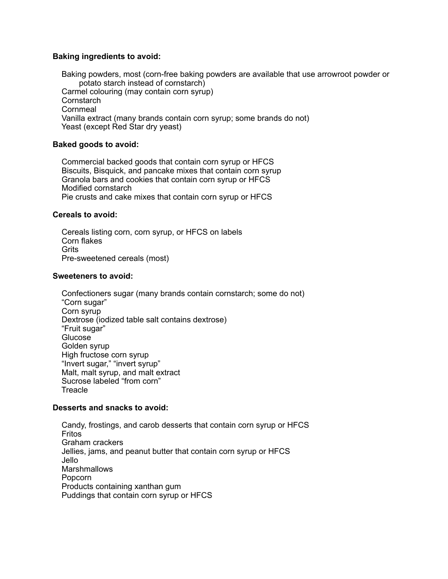# **Baking ingredients to avoid:**

 Baking powders, most (corn-free baking powders are available that use arrowroot powder or potato starch instead of cornstarch) Carmel colouring (may contain corn syrup) **Cornstarch Cornmeal**  Vanilla extract (many brands contain corn syrup; some brands do not) Yeast (except Red Star dry yeast)

# **Baked goods to avoid:**

 Commercial backed goods that contain corn syrup or HFCS Biscuits, Bisquick, and pancake mixes that contain corn syrup Granola bars and cookies that contain corn syrup or HFCS Modified cornstarch Pie crusts and cake mixes that contain corn syrup or HFCS

## **Cereals to avoid:**

 Cereals listing corn, corn syrup, or HFCS on labels Corn flakes Grits Pre-sweetened cereals (most)

## **Sweeteners to avoid:**

 Confectioners sugar (many brands contain cornstarch; some do not) "Corn sugar" Corn syrup Dextrose (iodized table salt contains dextrose) "Fruit sugar" Glucose Golden syrup High fructose corn syrup "Invert sugar," "invert syrup" Malt, malt syrup, and malt extract Sucrose labeled "from corn" **Treacle** 

## **Desserts and snacks to avoid:**

 Candy, frostings, and carob desserts that contain corn syrup or HFCS Fritos Graham crackers Jellies, jams, and peanut butter that contain corn syrup or HFCS Jello **Marshmallows**  Popcorn Products containing xanthan gum Puddings that contain corn syrup or HFCS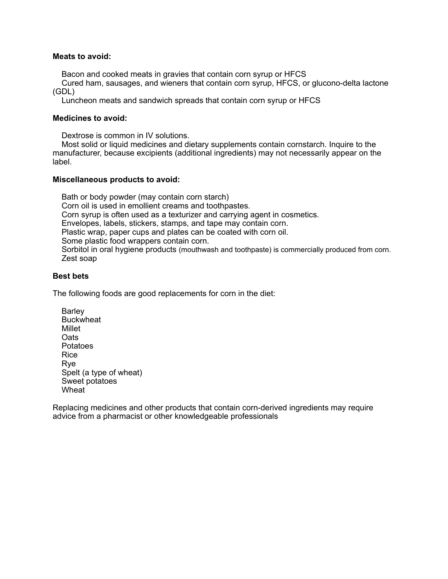## **Meats to avoid:**

Bacon and cooked meats in gravies that contain corn syrup or HFCS

 Cured ham, sausages, and wieners that contain corn syrup, HFCS, or glucono-delta lactone (GDL)

Luncheon meats and sandwich spreads that contain corn syrup or HFCS

# **Medicines to avoid:**

Dextrose is common in IV solutions.

 Most solid or liquid medicines and dietary supplements contain cornstarch. Inquire to the manufacturer, because excipients (additional ingredients) may not necessarily appear on the label.

# **Miscellaneous products to avoid:**

 Bath or body powder (may contain corn starch) Corn oil is used in emollient creams and toothpastes. Corn syrup is often used as a texturizer and carrying agent in cosmetics. Envelopes, labels, stickers, stamps, and tape may contain corn. Plastic wrap, paper cups and plates can be coated with corn oil. Some plastic food wrappers contain corn. Sorbitol in oral hygiene products (mouthwash and toothpaste) is commercially produced from corn. Zest soap

# **Best bets**

The following foods are good replacements for corn in the diet:

**Barley Buckwheat**  Millet **Oats**  Potatoes Rice Rye Spelt (a type of wheat) Sweet potatoes Wheat<sup>1</sup>

Replacing medicines and other products that contain corn-derived ingredients may require advice from a pharmacist or other knowledgeable professionals